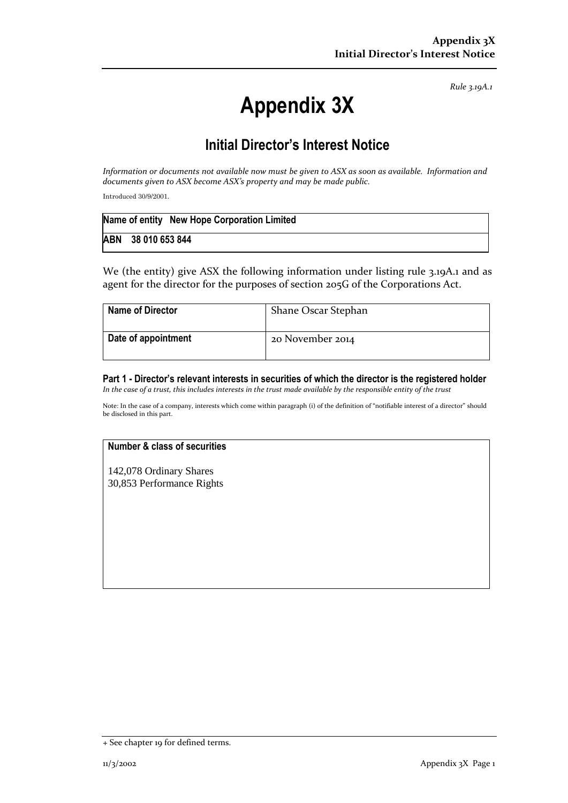*Rule 3.19A.1*

# **Appendix 3X**

# **Initial Director's Interest Notice**

*Information or documents not available now must be given to ASX as soon as available. Information and documents given to ASX become ASX's property and may be made public.*

Introduced 30/9/2001.

| Name of entity New Hope Corporation Limited |
|---------------------------------------------|
| ABN 38 010 653 844                          |

We (the entity) give ASX the following information under listing rule 3.19A.1 and as agent for the director for the purposes of section 205G of the Corporations Act.

| Name of Director    | Shane Oscar Stephan |
|---------------------|---------------------|
| Date of appointment | 20 November 2014    |

## **Part 1 - Director's relevant interests in securities of which the director is the registered holder**

*In the case of a trust, this includes interests in the trust made available by the responsible entity of the trust*

Note: In the case of a company, interests which come within paragraph (i) of the definition of "notifiable interest of a director" should be disclosed in this part.

#### **Number & class of securities**

142,078 Ordinary Shares 30,853 Performance Rights

<sup>+</sup> See chapter 19 for defined terms.